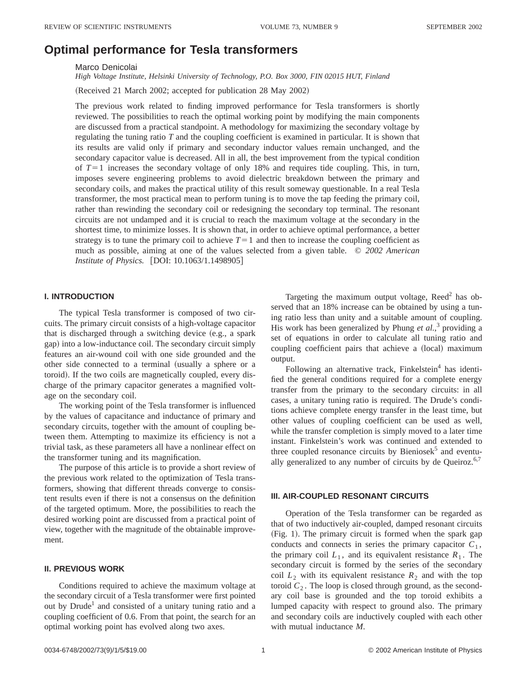# **Optimal performance for Tesla transformers**

Marco Denicolai

*High Voltage Institute, Helsinki University of Technology, P.O. Box 3000, FIN 02015 HUT, Finland*

(Received 21 March 2002; accepted for publication 28 May 2002)

The previous work related to finding improved performance for Tesla transformers is shortly reviewed. The possibilities to reach the optimal working point by modifying the main components are discussed from a practical standpoint. A methodology for maximizing the secondary voltage by regulating the tuning ratio *T* and the coupling coefficient is examined in particular. It is shown that its results are valid only if primary and secondary inductor values remain unchanged, and the secondary capacitor value is decreased. All in all, the best improvement from the typical condition of  $T=1$  increases the secondary voltage of only 18% and requires tide coupling. This, in turn, imposes severe engineering problems to avoid dielectric breakdown between the primary and secondary coils, and makes the practical utility of this result someway questionable. In a real Tesla transformer, the most practical mean to perform tuning is to move the tap feeding the primary coil, rather than rewinding the secondary coil or redesigning the secondary top terminal. The resonant circuits are not undamped and it is crucial to reach the maximum voltage at the secondary in the shortest time, to minimize losses. It is shown that, in order to achieve optimal performance, a better strategy is to tune the primary coil to achieve  $T=1$  and then to increase the coupling coefficient as much as possible, aiming at one of the values selected from a given table. © *2002 American Institute of Physics.* [DOI: 10.1063/1.1498905]

### **I. INTRODUCTION**

The typical Tesla transformer is composed of two circuits. The primary circuit consists of a high-voltage capacitor that is discharged through a switching device  $(e.g., a spark)$ gap) into a low-inductance coil. The secondary circuit simply features an air-wound coil with one side grounded and the other side connected to a terminal (usually a sphere or a toroid). If the two coils are magnetically coupled, every discharge of the primary capacitor generates a magnified voltage on the secondary coil.

The working point of the Tesla transformer is influenced by the values of capacitance and inductance of primary and secondary circuits, together with the amount of coupling between them. Attempting to maximize its efficiency is not a trivial task, as these parameters all have a nonlinear effect on the transformer tuning and its magnification.

The purpose of this article is to provide a short review of the previous work related to the optimization of Tesla transformers, showing that different threads converge to consistent results even if there is not a consensus on the definition of the targeted optimum. More, the possibilities to reach the desired working point are discussed from a practical point of view, together with the magnitude of the obtainable improvement.

# **II. PREVIOUS WORK**

Conditions required to achieve the maximum voltage at the secondary circuit of a Tesla transformer were first pointed out by Drude<sup>1</sup> and consisted of a unitary tuning ratio and a coupling coefficient of 0.6. From that point, the search for an optimal working point has evolved along two axes.

Targeting the maximum output voltage, Reed<sup>2</sup> has observed that an 18% increase can be obtained by using a tuning ratio less than unity and a suitable amount of coupling. His work has been generalized by Phung *et al.*, <sup>3</sup> providing a set of equations in order to calculate all tuning ratio and coupling coefficient pairs that achieve a (local) maximum output.

Following an alternative track, Finkelstein<sup>4</sup> has identified the general conditions required for a complete energy transfer from the primary to the secondary circuits: in all cases, a unitary tuning ratio is required. The Drude's conditions achieve complete energy transfer in the least time, but other values of coupling coefficient can be used as well, while the transfer completion is simply moved to a later time instant. Finkelstein's work was continued and extended to three coupled resonance circuits by Bieniosek $<sup>5</sup>$  and eventu-</sup> ally generalized to any number of circuits by de Queiroz. $6,7$ 

#### **III. AIR-COUPLED RESONANT CIRCUITS**

Operation of the Tesla transformer can be regarded as that of two inductively air-coupled, damped resonant circuits  $(Fig. 1)$ . The primary circuit is formed when the spark gap conducts and connects in series the primary capacitor  $C_1$ , the primary coil  $L_1$ , and its equivalent resistance  $R_1$ . The secondary circuit is formed by the series of the secondary coil  $L_2$  with its equivalent resistance  $R_2$  and with the top toroid  $C_2$ . The loop is closed through ground, as the secondary coil base is grounded and the top toroid exhibits a lumped capacity with respect to ground also. The primary and secondary coils are inductively coupled with each other with mutual inductance *M*.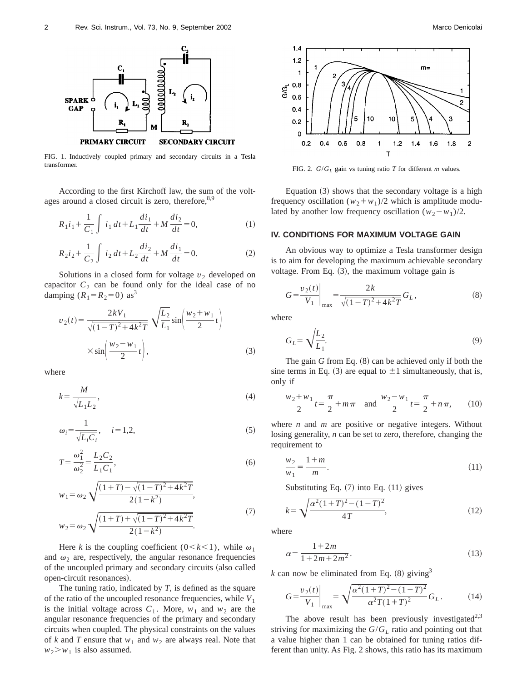

FIG. 1. Inductively coupled primary and secondary circuits in a Tesla transformer.<br>FIG. 2.  $G/G_L$  gain vs tuning ratio *T* for different *m* values.

According to the first Kirchoff law, the sum of the voltages around a closed circuit is zero, therefore, 8,9

$$
R_1 i_1 + \frac{1}{C_1} \int i_1 dt + L_1 \frac{di_1}{dt} + M \frac{di_2}{dt} = 0,
$$
 (1)

$$
R_2 i_2 + \frac{1}{C_2} \int i_2 dt + L_2 \frac{di_2}{dt} + M \frac{di_1}{dt} = 0.
$$
 (2)

Solutions in a closed form for voltage  $v_2$  developed on capacitor  $C_2$  can be found only for the ideal case of no damping  $(R_1 = R_2 = 0)$  as<sup>3</sup>

$$
v_2(t) = \frac{2kV_1}{\sqrt{(1-T)^2 + 4k^2T}} \sqrt{\frac{L_2}{L_1}} \sin\left(\frac{w_2 + w_1}{2}t\right)
$$
  
 
$$
\times \sin\left(\frac{w_2 - w_1}{2}t\right),
$$
 (3)

where

$$
k = \frac{M}{\sqrt{L_1 L_2}},\tag{4}
$$

$$
\omega_i = \frac{1}{\sqrt{L_i C_i}}, \quad i = 1, 2,
$$
\n<sup>(5)</sup>

$$
T = \frac{\omega_1^2}{\omega_2^2} = \frac{L_2 C_2}{L_1 C_1},\tag{6}
$$

$$
w_1 = \omega_2 \sqrt{\frac{(1+T) - \sqrt{(1-T)^2 + 4k^2T}}{2(1-k^2)}},
$$
  

$$
\sqrt{\frac{(1+T) + \sqrt{(1-T)^2 + 4k^2T}}{(1-T)^2 + 4k^2T}}}
$$
 (7)

$$
w_2 = \omega_2 \sqrt{\frac{(1+T) + \sqrt{(1-T)^2 + 4k^2T}}{2(1-k^2)}}.
$$

Here *k* is the coupling coefficient ( $0 < k < 1$ ), while  $\omega_1$ and  $\omega_2$  are, respectively, the angular resonance frequencies of the uncoupled primary and secondary circuits (also called open-circuit resonances).

The tuning ratio, indicated by *T*, is defined as the square of the ratio of the uncoupled resonance frequencies, while  $V_1$ is the initial voltage across  $C_1$ . More,  $w_1$  and  $w_2$  are the angular resonance frequencies of the primary and secondary circuits when coupled. The physical constraints on the values of *k* and *T* ensure that  $w_1$  and  $w_2$  are always real. Note that  $w_2$  $> w_1$  is also assumed.



Equation  $(3)$  shows that the secondary voltage is a high frequency oscillation  $(w_2 + w_1)/2$  which is amplitude modulated by another low frequency oscillation  $(w_2 - w_1)/2$ .

# **IV. CONDITIONS FOR MAXIMUM VOLTAGE GAIN**

An obvious way to optimize a Tesla transformer design is to aim for developing the maximum achievable secondary voltage. From Eq.  $(3)$ , the maximum voltage gain is

$$
G = \frac{v_2(t)}{V_1}\bigg|_{\text{max}} = \frac{2k}{\sqrt{(1-T)^2 + 4k^2T}} G_L,
$$
\n(8)

where

$$
G_L = \sqrt{\frac{L_2}{L_1}}.\tag{9}
$$

The gain  $G$  from Eq.  $(8)$  can be achieved only if both the sine terms in Eq. (3) are equal to  $\pm 1$  simultaneously, that is, only if

$$
\frac{w_2 + w_1}{2}t = \frac{\pi}{2} + m\pi \quad \text{and} \quad \frac{w_2 - w_1}{2}t = \frac{\pi}{2} + n\pi,\qquad(10)
$$

where *n* and *m* are positive or negative integers. Without losing generality, *n* can be set to zero, therefore, changing the requirement to

$$
\frac{w_2}{w_1} = \frac{1+m}{m}.\tag{11}
$$

Substituting Eq.  $(7)$  into Eq.  $(11)$  gives

$$
k = \sqrt{\frac{\alpha^2 (1+T)^2 - (1-T)^2}{4T}},\tag{12}
$$

where

$$
\alpha = \frac{1 + 2m}{1 + 2m + 2m^2}.
$$
\n(13)

 $k$  can now be eliminated from Eq.  $(8)$  giving<sup>3</sup>

$$
G = \frac{v_2(t)}{V_1}\bigg|_{\text{max}} = \sqrt{\frac{\alpha^2 (1+T)^2 - (1-T)^2}{\alpha^2 T (1+T)^2}} G_L.
$$
 (14)

The above result has been previously investigated<sup>2,3</sup> striving for maximizing the  $G/G_L$  ratio and pointing out that a value higher than 1 can be obtained for tuning ratios different than unity. As Fig. 2 shows, this ratio has its maximum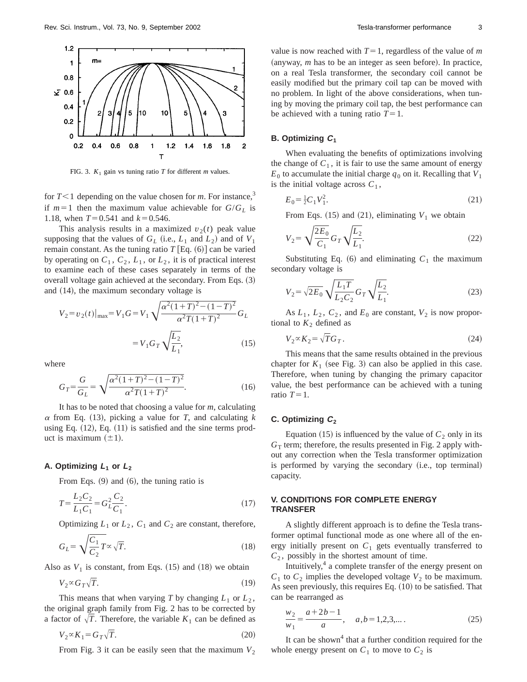

FIG. 3.  $K_1$  gain vs tuning ratio *T* for different *m* values.

for  $T<1$  depending on the value chosen for *m*. For instance,<sup>3</sup> if  $m=1$  then the maximum value achievable for  $G/G_L$  is 1.18, when  $T=0.541$  and  $k=0.546$ .

This analysis results in a maximized  $v_2(t)$  peak value supposing that the values of  $G_L$  (i.e.,  $L_1$  and  $L_2$ ) and of  $V_1$ remain constant. As the tuning ratio  $T$  [Eq.  $(6)$ ] can be varied by operating on  $C_1$ ,  $C_2$ ,  $L_1$ , or  $L_2$ , it is of practical interest to examine each of these cases separately in terms of the overall voltage gain achieved at the secondary. From Eqs.  $(3)$ and  $(14)$ , the maximum secondary voltage is

$$
V_2 = v_2(t)|_{\text{max}} = V_1 G = V_1 \sqrt{\frac{\alpha^2 (1+T)^2 - (1-T)^2}{\alpha^2 T (1+T)^2}} G_L
$$

$$
= V_1 G_T \sqrt{\frac{L_2}{L_1}}, \tag{15}
$$

where

$$
G_T = \frac{G}{G_L} = \sqrt{\frac{\alpha^2 (1+T)^2 - (1-T)^2}{\alpha^2 T (1+T)^2}}.
$$
\n(16)

It has to be noted that choosing a value for *m*, calculating  $\alpha$  from Eq. (13), picking a value for *T*, and calculating *k* using Eq.  $(12)$ , Eq.  $(11)$  is satisfied and the sine terms product is maximum  $(\pm 1)$ .

#### A. Optimizing  $L_1$  or  $L_2$

From Eqs.  $(9)$  and  $(6)$ , the tuning ratio is

$$
T = \frac{L_2 C_2}{L_1 C_1} = G_L^2 \frac{C_2}{C_1}.
$$
\n(17)

Optimizing  $L_1$  or  $L_2$ ,  $C_1$  and  $C_2$  are constant, therefore,

$$
G_L = \sqrt{\frac{C_1}{C_2}} T \propto \sqrt{T}.
$$
\n(18)

Also as  $V_1$  is constant, from Eqs. (15) and (18) we obtain

 $V_2 \propto G_T \sqrt{T}$ . (19)

This means that when varying *T* by changing  $L_1$  or  $L_2$ , the original graph family from Fig. 2 has to be corrected by a factor of  $\sqrt{T}$ . Therefore, the variable  $K_1$  can be defined as

$$
V_2 \propto K_1 = G_T \sqrt{T}.\tag{20}
$$

From Fig. 3 it can be easily seen that the maximum  $V_2$ 

value is now reached with  $T=1$ , regardless of the value of *m*  $(\text{anyway}, m \text{ has to be an integer as seen before})$ . In practice, on a real Tesla transformer, the secondary coil cannot be easily modified but the primary coil tap can be moved with no problem. In light of the above considerations, when tuning by moving the primary coil tap, the best performance can be achieved with a tuning ratio  $T=1$ .

## **B. Optimizing <sup>C</sup><sup>1</sup>**

When evaluating the benefits of optimizations involving the change of  $C_1$ , it is fair to use the same amount of energy  $E_0$  to accumulate the initial charge  $q_0$  on it. Recalling that  $V_1$ is the initial voltage across  $C_1$ ,

$$
E_0 = \frac{1}{2}C_1V_1^2. \tag{21}
$$

From Eqs.  $(15)$  and  $(21)$ , eliminating  $V_1$  we obtain

$$
V_2 = \sqrt{\frac{2E_0}{C_1}} G_T \sqrt{\frac{L_2}{L_1}}.
$$
 (22)

Substituting Eq.  $(6)$  and eliminating  $C_1$  the maximum secondary voltage is

$$
V_2 = \sqrt{2E_0} \sqrt{\frac{L_1 T}{L_2 C_2}} G_T \sqrt{\frac{L_2}{L_1}}.
$$
 (23)

As  $L_1$ ,  $L_2$ ,  $C_2$ , and  $E_0$  are constant,  $V_2$  is now proportional to  $K_2$  defined as

$$
V_2 \propto K_2 = \sqrt{T} G_T. \tag{24}
$$

This means that the same results obtained in the previous chapter for  $K_1$  (see Fig. 3) can also be applied in this case. Therefore, when tuning by changing the primary capacitor value, the best performance can be achieved with a tuning ratio  $T=1$ .

#### **C. Optimizing <sup>C</sup><sup>2</sup>**

Equation  $(15)$  is influenced by the value of  $C_2$  only in its  $G<sub>T</sub>$  term; therefore, the results presented in Fig. 2 apply without any correction when the Tesla transformer optimization is performed by varying the secondary (i.e., top terminal) capacity.

# **V. CONDITIONS FOR COMPLETE ENERGY TRANSFER**

A slightly different approach is to define the Tesla transformer optimal functional mode as one where all of the energy initially present on  $C_1$  gets eventually transferred to  $C_2$ , possibly in the shortest amount of time.

Intuitively,<sup>4</sup> a complete transfer of the energy present on  $C_1$  to  $C_2$  implies the developed voltage  $V_2$  to be maximum. As seen previously, this requires Eq.  $(10)$  to be satisfied. That can be rearranged as

$$
\frac{w_2}{w_1} = \frac{a+2b-1}{a}, \quad a, b = 1, 2, 3, \dots
$$
 (25)

It can be shown<sup>4</sup> that a further condition required for the whole energy present on  $C_1$  to move to  $C_2$  is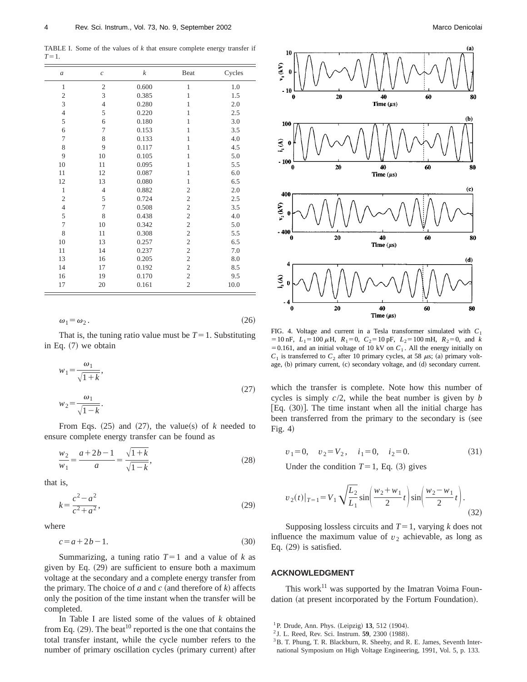TABLE I. Some of the values of  $k$  that ensure complete energy transfer if  $T=1$ .

| $\mathfrak a$  | $\mathcal{C}_{0}$       | k     | Beat           | Cycles |
|----------------|-------------------------|-------|----------------|--------|
| $\mathbf{1}$   | $\overline{\mathbf{c}}$ | 0.600 | $\mathbf{1}$   | 1.0    |
| $\mathfrak{2}$ | 3                       | 0.385 | 1              | 1.5    |
| 3              | $\overline{4}$          | 0.280 | $\mathbf{1}$   | 2.0    |
| $\overline{4}$ | 5                       | 0.220 | $\mathbf{1}$   | 2.5    |
| 5              | 6                       | 0.180 | $\mathbf{1}$   | 3.0    |
| 6              | 7                       | 0.153 | 1              | 3.5    |
| 7              | 8                       | 0.133 | $\mathbf{1}$   | 4.0    |
| 8              | 9                       | 0.117 | $\mathbf{1}$   | 4.5    |
| 9              | 10                      | 0.105 | $\mathbf{1}$   | 5.0    |
| 10             | 11                      | 0.095 | $\mathbf{1}$   | 5.5    |
| 11             | 12                      | 0.087 | $\mathbf{1}$   | 6.0    |
| 12             | 13                      | 0.080 | $\mathbf{1}$   | 6.5    |
| $\mathbf{1}$   | $\overline{4}$          | 0.882 | $\overline{2}$ | 2.0    |
| $\overline{c}$ | 5                       | 0.724 | $\overline{c}$ | 2.5    |
| $\overline{4}$ | 7                       | 0.508 | $\overline{2}$ | 3.5    |
| 5              | 8                       | 0.438 | $\overline{c}$ | 4.0    |
| $\overline{7}$ | 10                      | 0.342 | $\overline{c}$ | 5.0    |
| 8              | 11                      | 0.308 | $\overline{c}$ | 5.5    |
| 10             | 13                      | 0.257 | $\overline{c}$ | 6.5    |
| 11             | 14                      | 0.237 | $\overline{c}$ | 7.0    |
| 13             | 16                      | 0.205 | $\mathfrak{2}$ | 8.0    |
| 14             | 17                      | 0.192 | $\mathfrak{2}$ | 8.5    |
| 16             | 19                      | 0.170 | $\overline{2}$ | 9.5    |
| 17             | 20                      | 0.161 | $\overline{c}$ | 10.0   |

 $\omega_1 = \omega_2$ . (26)

That is, the tuning ratio value must be  $T=1$ . Substituting in Eq.  $(7)$  we obtain

$$
w_1 = \frac{\omega_1}{\sqrt{1+k}},
$$
  

$$
w_2 = \frac{\omega_1}{\sqrt{1-k}}.
$$
 (27)

From Eqs.  $(25)$  and  $(27)$ , the value(s) of *k* needed to ensure complete energy transfer can be found as

$$
\frac{w_2}{w_1} = \frac{a+2b-1}{a} = \frac{\sqrt{1+k}}{\sqrt{1-k}},
$$
\n(28)

that is,

$$
k = \frac{c^2 - a^2}{c^2 + a^2},\tag{29}
$$

where

$$
c = a + 2b - 1.\tag{30}
$$

Summarizing, a tuning ratio  $T=1$  and a value of  $k$  as given by Eq.  $(29)$  are sufficient to ensure both a maximum voltage at the secondary and a complete energy transfer from the primary. The choice of *a* and *c* (and therefore of *k*) affects only the position of the time instant when the transfer will be completed.

In Table I are listed some of the values of *k* obtained from Eq.  $(29)$ . The beat<sup>10</sup> reported is the one that contains the total transfer instant, while the cycle number refers to the number of primary oscillation cycles (primary current) after



FIG. 4. Voltage and current in a Tesla transformer simulated with *C*<sup>1</sup>  $= 10$  nF,  $L_1 = 100 \mu H$ ,  $R_1 = 0$ ,  $C_2 = 10$  pF,  $L_2 = 100$  mH,  $R_2 = 0$ , and *k*  $=0.161$ , and an initial voltage of 10 kV on  $C_1$ . All the energy initially on  $C_1$  is transferred to  $C_2$  after 10 primary cycles, at 58  $\mu$ s; (a) primary voltage, (b) primary current, (c) secondary voltage, and (d) secondary current.

which the transfer is complete. Note how this number of cycles is simply *c*/2, while the beat number is given by *b* [Eq.  $(30)$ ]. The time instant when all the initial charge has been transferred from the primary to the secondary is (see Fig.  $4$ )

$$
v_1 = 0, \quad v_2 = V_2, \quad i_1 = 0, \quad i_2 = 0. \tag{31}
$$

Under the condition  $T=1$ , Eq. (3) gives

$$
v_2(t)|_{T=1} = V_1 \sqrt{\frac{L_2}{L_1}} \sin\left(\frac{w_2 + w_1}{2}t\right) \sin\left(\frac{w_2 - w_1}{2}t\right).
$$
\n(32)

Supposing lossless circuits and  $T=1$ , varying *k* does not influence the maximum value of  $v_2$  achievable, as long as Eq.  $(29)$  is satisfied.

## **ACKNOWLEDGMENT**

This work $^{11}$  was supported by the Imatran Voima Foundation (at present incorporated by the Fortum Foundation).

 $1^1$ P. Drude, Ann. Phys. (Leipzig) 13, 512 (1904).

<sup>&</sup>lt;sup>2</sup> J. L. Reed, Rev. Sci. Instrum. **59**, 2300 (1988).

<sup>&</sup>lt;sup>3</sup>B. T. Phung, T. R. Blackburn, R. Sheehy, and R. E. James, Seventh International Symposium on High Voltage Engineering, 1991, Vol. 5, p. 133.